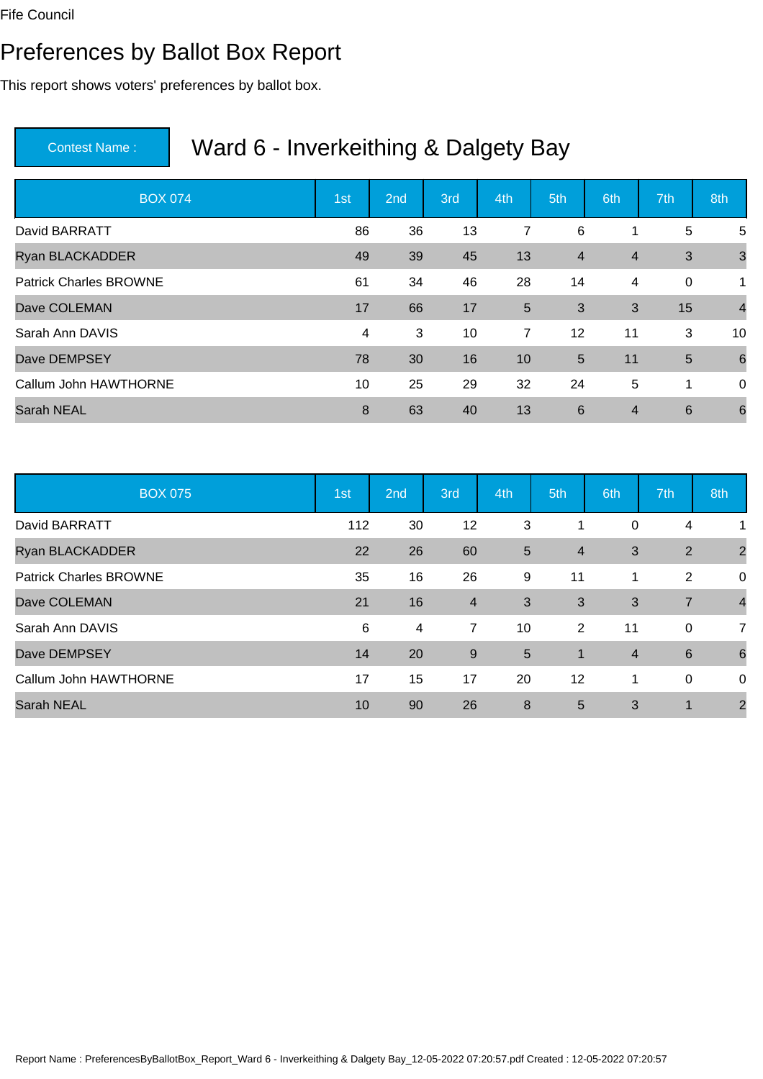#### Preferences by Ballot Box Report

This report shows voters' preferences by ballot box.

| <b>BOX 074</b>                | 1st | 2 <sub>nd</sub> | 3rd | 4th | 5th            | 6th            | 7th         | 8th             |
|-------------------------------|-----|-----------------|-----|-----|----------------|----------------|-------------|-----------------|
| David BARRATT                 | 86  | 36              | 13  | 7   | 6              | 1              | 5           | 5               |
| <b>Ryan BLACKADDER</b>        | 49  | 39              | 45  | 13  | $\overline{4}$ | $\overline{4}$ | 3           | $\mathbf{3}$    |
| <b>Patrick Charles BROWNE</b> | 61  | 34              | 46  | 28  | 14             | 4              | $\mathbf 0$ | 1               |
| Dave COLEMAN                  | 17  | 66              | 17  | 5   | 3              | 3              | 15          | $\overline{4}$  |
| Sarah Ann DAVIS               | 4   | 3               | 10  | 7   | 12             | 11             | 3           | 10              |
| Dave DEMPSEY                  | 78  | 30              | 16  | 10  | 5              | 11             | 5           | 6               |
| Callum John HAWTHORNE         | 10  | 25              | 29  | 32  | 24             | 5              | 1           | $\overline{0}$  |
| <b>Sarah NEAL</b>             | 8   | 63              | 40  | 13  | 6              | $\overline{4}$ | 6           | $6\phantom{1}6$ |

| <b>BOX 075</b>                | 1st | 2nd | 3rd            | 4th | 5th            | 6th            | 7th             | 8th             |
|-------------------------------|-----|-----|----------------|-----|----------------|----------------|-----------------|-----------------|
| David BARRATT                 | 112 | 30  | 12             | 3   |                | 0              | 4               |                 |
| <b>Ryan BLACKADDER</b>        | 22  | 26  | 60             | 5   | $\overline{4}$ | 3              | 2               | $\overline{2}$  |
| <b>Patrick Charles BROWNE</b> | 35  | 16  | 26             | 9   | 11             | $\mathbf 1$    | 2               | 0               |
| Dave COLEMAN                  | 21  | 16  | $\overline{4}$ | 3   | 3              | 3              | $\overline{7}$  | $\overline{4}$  |
| Sarah Ann DAVIS               | 6   | 4   | $\overline{7}$ | 10  | 2              | 11             | 0               | $\overline{7}$  |
| Dave DEMPSEY                  | 14  | 20  | 9              | 5   | $\overline{1}$ | $\overline{4}$ | $6\phantom{1}6$ | $6\phantom{1}6$ |
| Callum John HAWTHORNE         | 17  | 15  | 17             | 20  | 12             | 1              | 0               | 0               |
| <b>Sarah NEAL</b>             | 10  | 90  | 26             | 8   | 5              | 3              | 1               | $\overline{2}$  |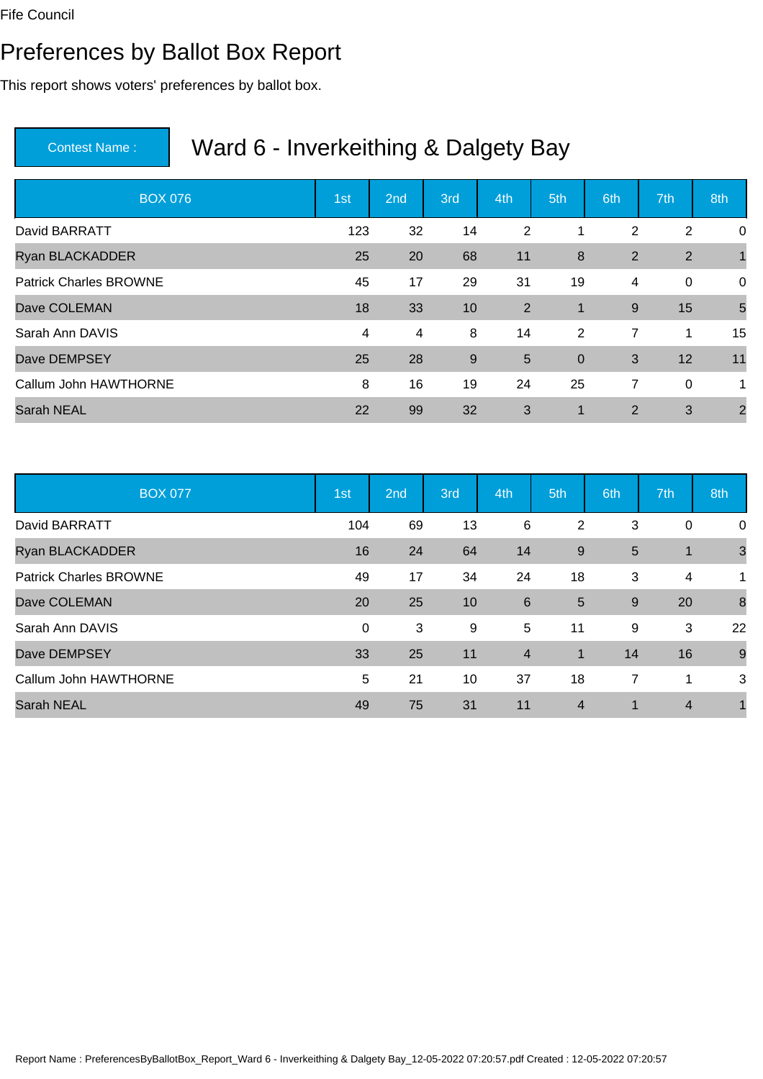#### Preferences by Ballot Box Report

This report shows voters' preferences by ballot box.

| <b>BOX 076</b>                | 1st | 2 <sub>nd</sub> | 3rd | 4th | 5th                     | 6th            | 7th            | 8th            |
|-------------------------------|-----|-----------------|-----|-----|-------------------------|----------------|----------------|----------------|
| David BARRATT                 | 123 | 32              | 14  | 2   | 1                       | 2              | $\overline{2}$ | $\mathbf 0$    |
| <b>Ryan BLACKADDER</b>        | 25  | 20              | 68  | 11  | 8                       | 2              | $\overline{2}$ |                |
| <b>Patrick Charles BROWNE</b> | 45  | 17              | 29  | 31  | 19                      | 4              | $\mathbf 0$    | $\mathbf 0$    |
| Dave COLEMAN                  | 18  | 33              | 10  | 2   | 1                       | 9              | 15             | 5              |
| Sarah Ann DAVIS               | 4   | 4               | 8   | 14  | 2                       | $\overline{7}$ | 1              | 15             |
| Dave DEMPSEY                  | 25  | 28              | 9   | 5   | $\overline{0}$          | 3              | 12             | 11             |
| Callum John HAWTHORNE         | 8   | 16              | 19  | 24  | 25                      | 7              | $\mathbf 0$    | 1              |
| <b>Sarah NEAL</b>             | 22  | 99              | 32  | 3   | $\overline{\mathbf{1}}$ | $\overline{2}$ | 3              | $\overline{2}$ |

| <b>BOX 077</b>                | 1st         | 2nd | 3rd | 4th            | 5th            | 6th            | 7th            | 8th            |
|-------------------------------|-------------|-----|-----|----------------|----------------|----------------|----------------|----------------|
| David BARRATT                 | 104         | 69  | 13  | 6              | $\overline{2}$ | 3              | 0              | 0              |
| Ryan BLACKADDER               | 16          | 24  | 64  | 14             | 9              | 5              | $\mathbf 1$    | $\overline{3}$ |
| <b>Patrick Charles BROWNE</b> | 49          | 17  | 34  | 24             | 18             | 3              | 4              | 1              |
| Dave COLEMAN                  | 20          | 25  | 10  | 6              | $5\phantom{1}$ | 9              | 20             | $\delta$       |
| Sarah Ann DAVIS               | $\mathbf 0$ | 3   | 9   | 5              | 11             | 9              | 3              | 22             |
| Dave DEMPSEY                  | 33          | 25  | 11  | $\overline{4}$ | $\overline{1}$ | 14             | 16             | 9              |
| Callum John HAWTHORNE         | 5           | 21  | 10  | 37             | 18             | $\overline{7}$ | 1              | 3              |
| <b>Sarah NEAL</b>             | 49          | 75  | 31  | 11             | $\overline{4}$ | 1              | $\overline{4}$ |                |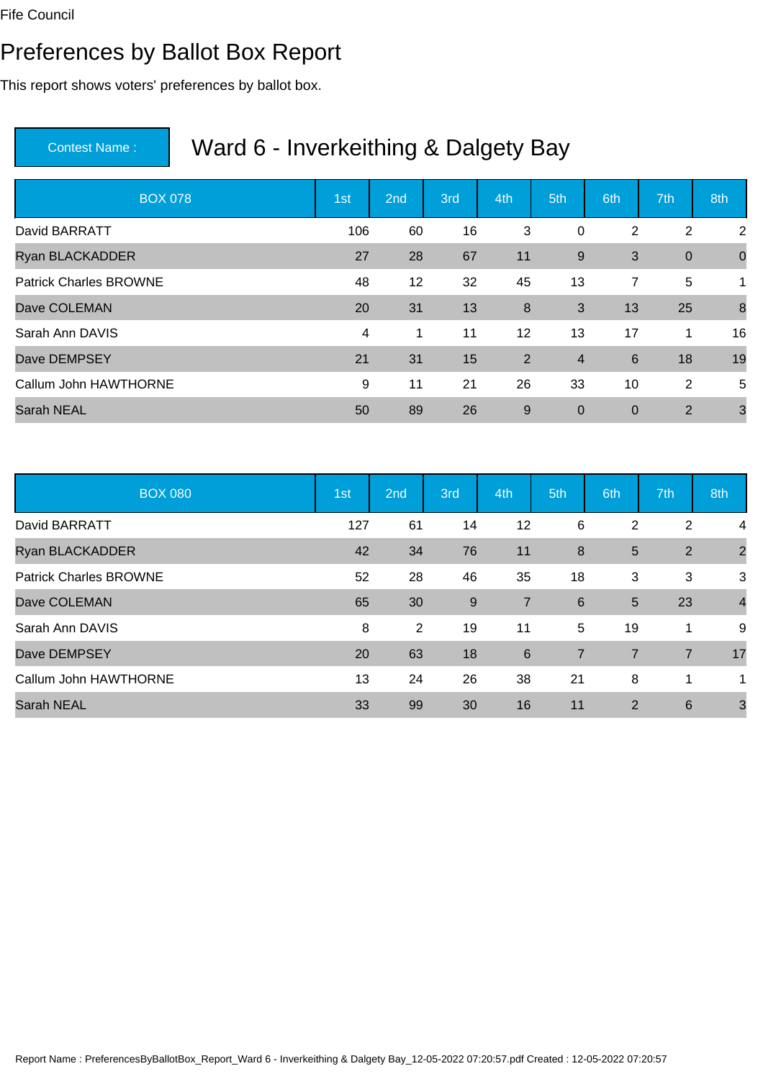#### Preferences by Ballot Box Report

This report shows voters' preferences by ballot box.

| <b>BOX 078</b>                | 1st | 2 <sub>nd</sub> | 3rd | 4th            | 5th            | 6th             | 7th              | 8th            |
|-------------------------------|-----|-----------------|-----|----------------|----------------|-----------------|------------------|----------------|
| David BARRATT                 | 106 | 60              | 16  | 3              | 0              | 2               | 2                | 2              |
| <b>Ryan BLACKADDER</b>        | 27  | 28              | 67  | 11             | 9              | 3               | $\boldsymbol{0}$ | $\overline{0}$ |
| <b>Patrick Charles BROWNE</b> | 48  | 12              | 32  | 45             | 13             | 7               | 5                | 1              |
| Dave COLEMAN                  | 20  | 31              | 13  | $\bf 8$        | 3              | 13              | 25               | 8              |
| Sarah Ann DAVIS               | 4   | 1               | 11  | 12             | 13             | 17              | 1                | 16             |
| Dave DEMPSEY                  | 21  | 31              | 15  | $\overline{2}$ | $\overline{4}$ | $6\phantom{1}6$ | 18               | 19             |
| Callum John HAWTHORNE         | 9   | 11              | 21  | 26             | 33             | 10              | 2                | 5              |
| <b>Sarah NEAL</b>             | 50  | 89              | 26  | $9\,$          | $\mathbf 0$    | $\mathbf 0$     | 2                | 3              |

| <b>BOX 080</b>                | 1st | 2nd | 3rd | 4th            | 5th            | 6th            | 7th            | 8th            |
|-------------------------------|-----|-----|-----|----------------|----------------|----------------|----------------|----------------|
| David BARRATT                 | 127 | 61  | 14  | 12             | 6              | 2              | $\overline{2}$ | 4              |
| <b>Ryan BLACKADDER</b>        | 42  | 34  | 76  | 11             | 8              | 5              | 2              | $\overline{2}$ |
| <b>Patrick Charles BROWNE</b> | 52  | 28  | 46  | 35             | 18             | 3              | 3              | 3              |
| Dave COLEMAN                  | 65  | 30  | 9   | $\overline{7}$ | 6              | 5              | 23             | $\overline{4}$ |
| Sarah Ann DAVIS               | 8   | 2   | 19  | 11             | 5              | 19             | 1              | 9              |
| Dave DEMPSEY                  | 20  | 63  | 18  | 6              | $\overline{7}$ | $\overline{7}$ | $\overline{7}$ | 17             |
| Callum John HAWTHORNE         | 13  | 24  | 26  | 38             | 21             | 8              | 1              | 1              |
| <b>Sarah NEAL</b>             | 33  | 99  | 30  | 16             | 11             | 2              | 6              | 3              |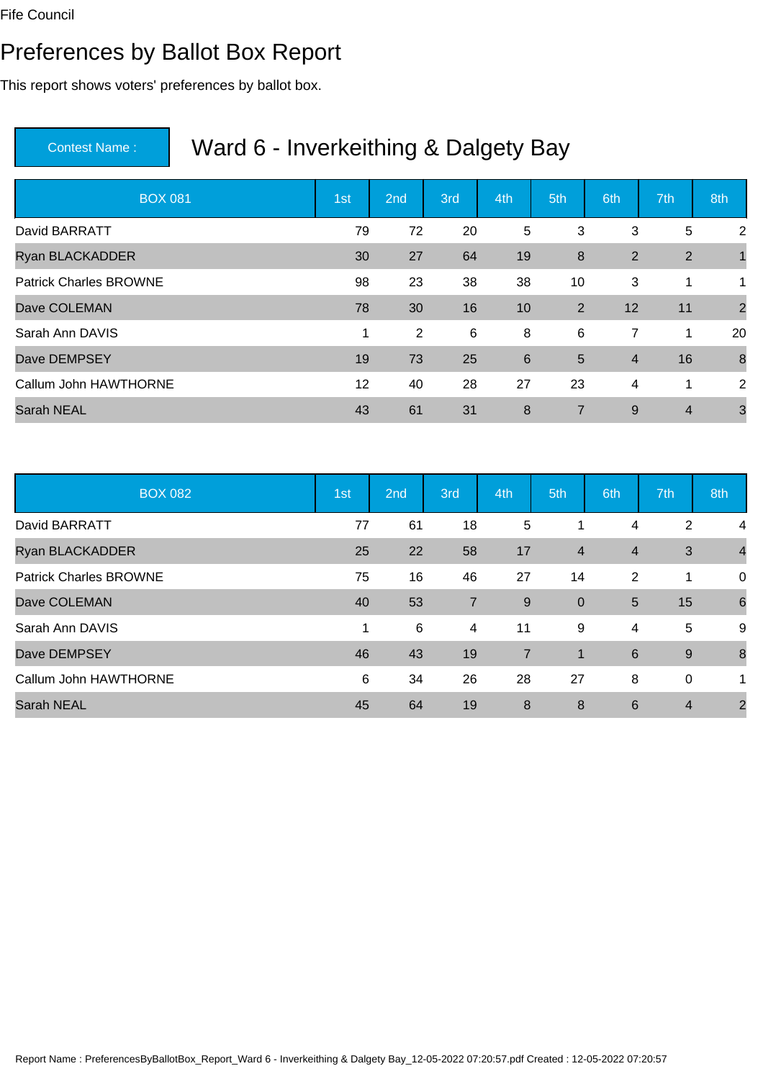#### Preferences by Ballot Box Report

This report shows voters' preferences by ballot box.

| <b>BOX 081</b>                | 1st | 2 <sub>nd</sub> | 3rd | 4th | 5th            | 6th            | 7th            | 8th            |
|-------------------------------|-----|-----------------|-----|-----|----------------|----------------|----------------|----------------|
| David BARRATT                 | 79  | 72              | 20  | 5   | 3              | 3              | 5              | $\overline{2}$ |
| <b>Ryan BLACKADDER</b>        | 30  | 27              | 64  | 19  | 8              | 2              | $\overline{2}$ |                |
| <b>Patrick Charles BROWNE</b> | 98  | 23              | 38  | 38  | 10             | 3              | 1              | $\mathbf 1$    |
| Dave COLEMAN                  | 78  | 30              | 16  | 10  | 2              | 12             | 11             | $\overline{2}$ |
| Sarah Ann DAVIS               | 1   | 2               | 6   | 8   | 6              | $\overline{7}$ | 1              | 20             |
| Dave DEMPSEY                  | 19  | 73              | 25  | 6   | 5              | $\overline{4}$ | 16             | 8              |
| Callum John HAWTHORNE         | 12  | 40              | 28  | 27  | 23             | 4              | 1              | 2              |
| <b>Sarah NEAL</b>             | 43  | 61              | 31  | 8   | $\overline{7}$ | 9              | $\overline{4}$ | 3              |

| <b>BOX 082</b>                | 1st | 2nd | 3rd            | 4th            | 5th            | 6th            | 7th            | 8th             |
|-------------------------------|-----|-----|----------------|----------------|----------------|----------------|----------------|-----------------|
| David BARRATT                 | 77  | 61  | 18             | 5              |                | 4              | $\overline{2}$ | 4               |
| Ryan BLACKADDER               | 25  | 22  | 58             | 17             | $\overline{4}$ | $\overline{4}$ | 3              | $\overline{4}$  |
| <b>Patrick Charles BROWNE</b> | 75  | 16  | 46             | 27             | 14             | 2              | 1              | 0               |
| Dave COLEMAN                  | 40  | 53  | $\overline{7}$ | 9              | $\overline{0}$ | 5              | 15             | $6\phantom{1}6$ |
| Sarah Ann DAVIS               | 1   | 6   | 4              | 11             | 9              | 4              | 5              | 9               |
| Dave DEMPSEY                  | 46  | 43  | 19             | $\overline{7}$ | $\mathbf{1}$   | 6              | 9              | 8               |
| Callum John HAWTHORNE         | 6   | 34  | 26             | 28             | 27             | 8              | 0              | 1               |
| <b>Sarah NEAL</b>             | 45  | 64  | 19             | 8              | 8              | 6              | $\overline{4}$ | $\overline{2}$  |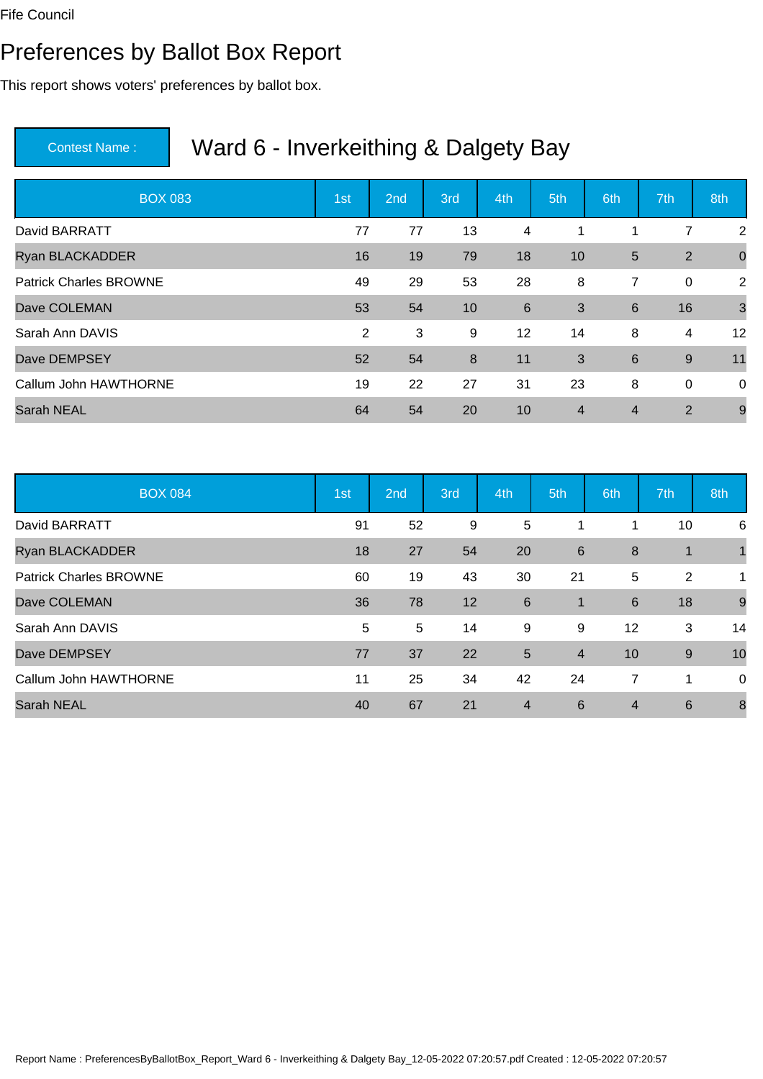#### Preferences by Ballot Box Report

This report shows voters' preferences by ballot box.

| <b>BOX 083</b>                | 1st            | 2 <sub>nd</sub> | 3rd | 4th            | 5th            | 6th             | 7th            | 8th            |
|-------------------------------|----------------|-----------------|-----|----------------|----------------|-----------------|----------------|----------------|
| David BARRATT                 | 77             | 77              | 13  | 4              | 1              | 1               | 7              | 2              |
| <b>Ryan BLACKADDER</b>        | 16             | 19              | 79  | 18             | 10             | 5               | $\overline{2}$ | $\overline{0}$ |
| <b>Patrick Charles BROWNE</b> | 49             | 29              | 53  | 28             | 8              | 7               | $\mathbf 0$    | 2              |
| Dave COLEMAN                  | 53             | 54              | 10  | $6\phantom{1}$ | 3              | $6\phantom{1}6$ | 16             | $\mathbf{3}$   |
| Sarah Ann DAVIS               | $\overline{2}$ | 3               | 9   | 12             | 14             | 8               | 4              | 12             |
| Dave DEMPSEY                  | 52             | 54              | 8   | 11             | 3              | 6               | $9\,$          | 11             |
| Callum John HAWTHORNE         | 19             | 22              | 27  | 31             | 23             | 8               | $\mathbf 0$    | $\overline{0}$ |
| <b>Sarah NEAL</b>             | 64             | 54              | 20  | 10             | $\overline{4}$ | $\overline{4}$  | 2              | 9              |

| <b>BOX 084</b>                | 1st | 2nd | 3rd | 4th            | 5th            | 6th            | 7th             | 8th |
|-------------------------------|-----|-----|-----|----------------|----------------|----------------|-----------------|-----|
| David BARRATT                 | 91  | 52  | 9   | 5              |                |                | 10              | 6   |
| Ryan BLACKADDER               | 18  | 27  | 54  | 20             | 6              | 8              | 1               |     |
| <b>Patrick Charles BROWNE</b> | 60  | 19  | 43  | 30             | 21             | 5              | 2               | 1   |
| Dave COLEMAN                  | 36  | 78  | 12  | 6              | $\mathbf{1}$   | 6              | 18              | 9   |
| Sarah Ann DAVIS               | 5   | 5   | 14  | 9              | 9              | 12             | 3               | 14  |
| Dave DEMPSEY                  | 77  | 37  | 22  | $5\phantom{.}$ | $\overline{4}$ | 10             | 9               | 10  |
| Callum John HAWTHORNE         | 11  | 25  | 34  | 42             | 24             | $\overline{7}$ | 1               | 0   |
| <b>Sarah NEAL</b>             | 40  | 67  | 21  | $\overline{4}$ | 6              | $\overline{4}$ | $6\phantom{1}6$ | 8   |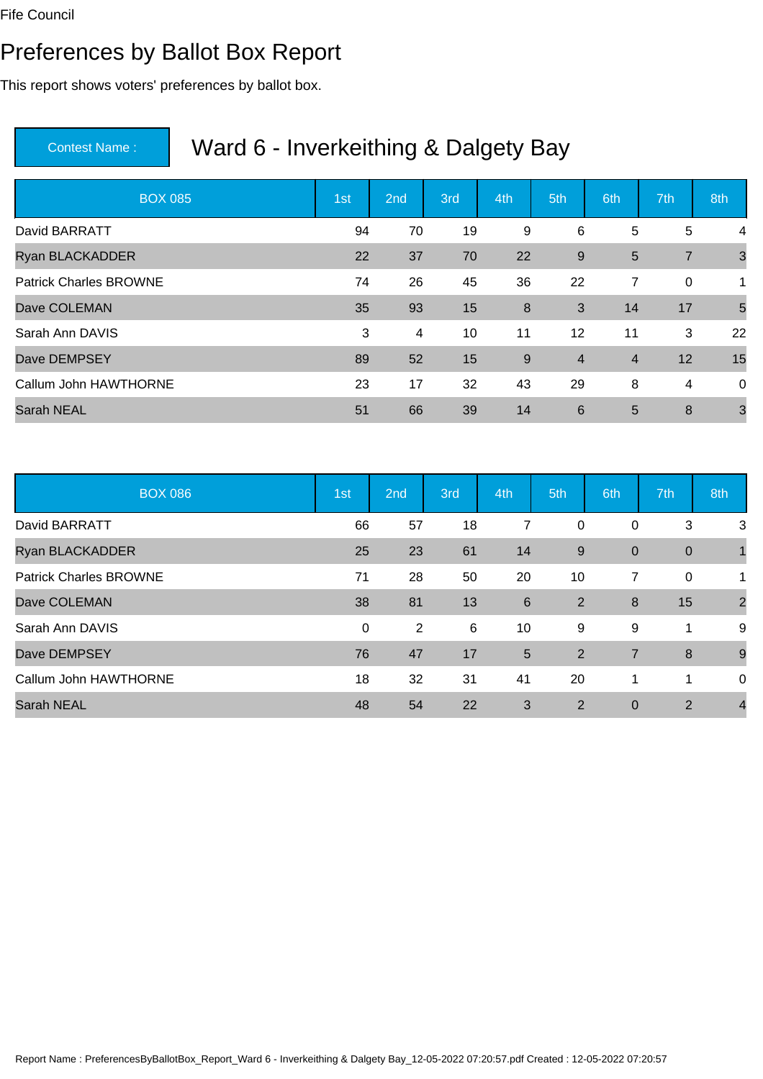#### Preferences by Ballot Box Report

This report shows voters' preferences by ballot box.

| <b>BOX 085</b>                | 1st | 2 <sub>nd</sub> | 3rd | 4th | 5th            | 6th            | 7th            | 8th          |
|-------------------------------|-----|-----------------|-----|-----|----------------|----------------|----------------|--------------|
| David BARRATT                 | 94  | 70              | 19  | 9   | 6              | 5              | 5              | 4            |
| <b>Ryan BLACKADDER</b>        | 22  | 37              | 70  | 22  | 9              | 5              | $\overline{7}$ | $\mathbf{3}$ |
| <b>Patrick Charles BROWNE</b> | 74  | 26              | 45  | 36  | 22             | 7              | $\mathbf 0$    | 1            |
| Dave COLEMAN                  | 35  | 93              | 15  | 8   | 3              | 14             | 17             | 5            |
| Sarah Ann DAVIS               | 3   | 4               | 10  | 11  | 12             | 11             | 3              | 22           |
| Dave DEMPSEY                  | 89  | 52              | 15  | 9   | $\overline{4}$ | $\overline{4}$ | 12             | 15           |
| Callum John HAWTHORNE         | 23  | 17              | 32  | 43  | 29             | 8              | 4              | $\mathbf 0$  |
| <b>Sarah NEAL</b>             | 51  | 66              | 39  | 14  | 6              | 5              | 8              | 3            |

| <b>BOX 086</b>                | 1st         | 2nd            | 3rd | 4th | 5th            | 6th            | 7th            | 8th            |
|-------------------------------|-------------|----------------|-----|-----|----------------|----------------|----------------|----------------|
| David BARRATT                 | 66          | 57             | 18  | 7   | 0              | 0              | 3              | 3              |
| <b>Ryan BLACKADDER</b>        | 25          | 23             | 61  | 14  | 9              | $\mathbf 0$    | $\mathbf 0$    | 1              |
| <b>Patrick Charles BROWNE</b> | 71          | 28             | 50  | 20  | 10             | 7              | 0              | 1              |
| Dave COLEMAN                  | 38          | 81             | 13  | 6   | 2              | 8              | 15             | $\overline{2}$ |
| Sarah Ann DAVIS               | $\mathbf 0$ | $\overline{2}$ | 6   | 10  | 9              | 9              | 1              | 9              |
| Dave DEMPSEY                  | 76          | 47             | 17  | 5   | 2              | $\overline{7}$ | 8              | 9              |
| Callum John HAWTHORNE         | 18          | 32             | 31  | 41  | 20             | 1              | 1              | 0              |
| <b>Sarah NEAL</b>             | 48          | 54             | 22  | 3   | $\overline{2}$ | $\mathbf 0$    | $\overline{2}$ | $\overline{4}$ |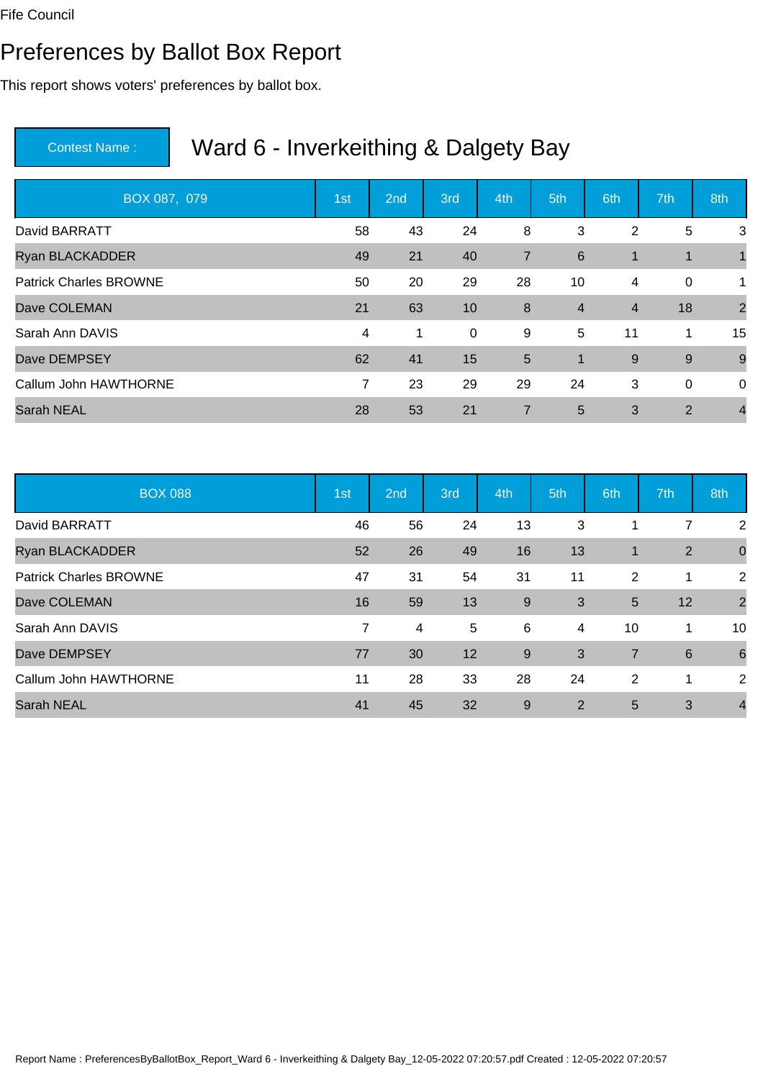#### Preferences by Ballot Box Report

This report shows voters' preferences by ballot box.

| BOX 087, 079                  | 1st            | 2 <sub>nd</sub> | 3rd         | 4th            | 5th            | 6th            | 7th            | 8th            |
|-------------------------------|----------------|-----------------|-------------|----------------|----------------|----------------|----------------|----------------|
| David BARRATT                 | 58             | 43              | 24          | 8              | 3              | 2              | 5              | 3              |
| <b>Ryan BLACKADDER</b>        | 49             | 21              | 40          | $\overline{7}$ | 6              | $\mathbf{1}$   | 1              |                |
| <b>Patrick Charles BROWNE</b> | 50             | 20              | 29          | 28             | 10             | 4              | $\mathbf 0$    | 1              |
| Dave COLEMAN                  | 21             | 63              | 10          | 8              | $\overline{4}$ | $\overline{4}$ | 18             | $\overline{2}$ |
| Sarah Ann DAVIS               | 4              | 1               | $\mathbf 0$ | 9              | 5              | 11             | 1              | 15             |
| Dave DEMPSEY                  | 62             | 41              | 15          | 5              | 1              | 9              | 9              | 9              |
| Callum John HAWTHORNE         | $\overline{7}$ | 23              | 29          | 29             | 24             | 3              | $\mathbf 0$    | $\mathbf 0$    |
| <b>Sarah NEAL</b>             | 28             | 53              | 21          | $\overline{7}$ | 5              | 3              | $\overline{2}$ | $\overline{4}$ |

| <b>BOX 088</b>                | 1st | 2nd | 3rd | 4th | 5th | 6th            | 7th             | 8th             |
|-------------------------------|-----|-----|-----|-----|-----|----------------|-----------------|-----------------|
| David BARRATT                 | 46  | 56  | 24  | 13  | 3   |                | 7               | $\overline{2}$  |
| Ryan BLACKADDER               | 52  | 26  | 49  | 16  | 13  | $\mathbf 1$    | $\overline{2}$  | $\mathbf 0$     |
| <b>Patrick Charles BROWNE</b> | 47  | 31  | 54  | 31  | 11  | 2              | 1               | 2               |
| Dave COLEMAN                  | 16  | 59  | 13  | 9   | 3   | 5              | 12              | $\overline{2}$  |
| Sarah Ann DAVIS               | 7   | 4   | 5   | 6   | 4   | 10             | 1               | 10              |
| Dave DEMPSEY                  | 77  | 30  | 12  | 9   | 3   | $\overline{7}$ | $6\phantom{1}6$ | $6\phantom{1}6$ |
| Callum John HAWTHORNE         | 11  | 28  | 33  | 28  | 24  | $\overline{2}$ | 1               | 2               |
| <b>Sarah NEAL</b>             | 41  | 45  | 32  | 9   | 2   | 5              | 3               | $\overline{4}$  |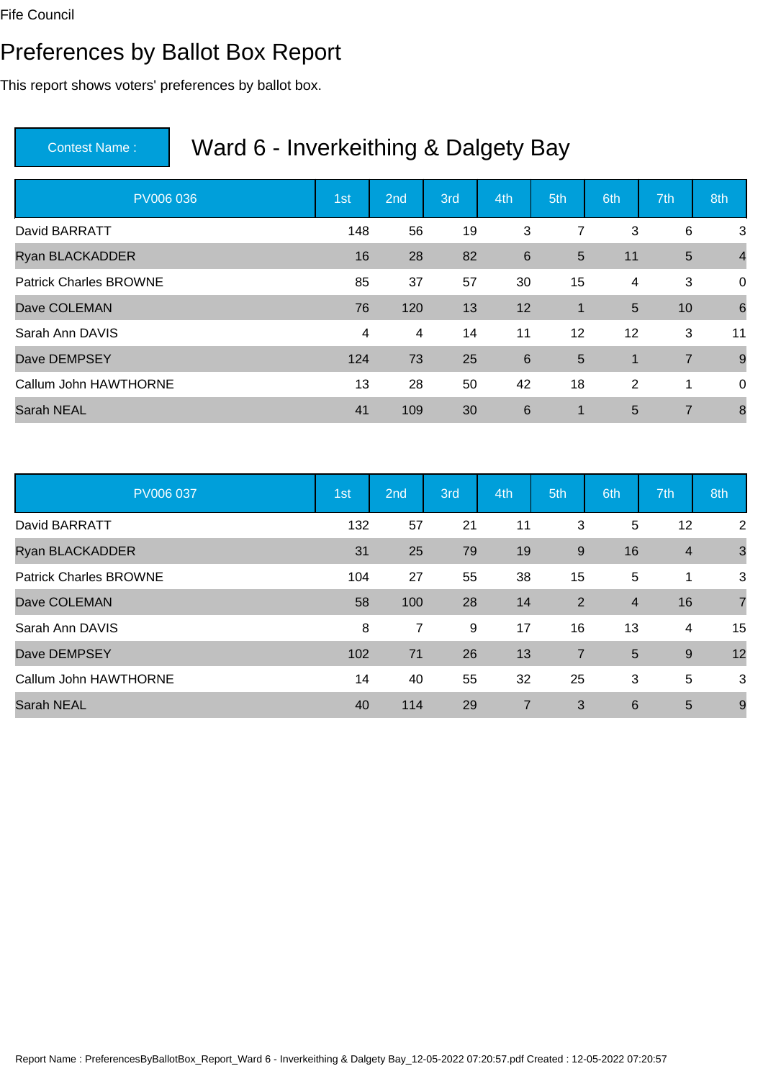#### Preferences by Ballot Box Report

This report shows voters' preferences by ballot box.

| PV006 036                     | 1st | 2 <sub>nd</sub> | 3rd | 4th            | 5th         | 6th            | 7th            | 8th            |
|-------------------------------|-----|-----------------|-----|----------------|-------------|----------------|----------------|----------------|
| David BARRATT                 | 148 | 56              | 19  | 3              | 7           | 3              | 6              | 3              |
| <b>Ryan BLACKADDER</b>        | 16  | 28              | 82  | $6\phantom{1}$ | 5           | 11             | $5\phantom{1}$ | $\overline{4}$ |
| <b>Patrick Charles BROWNE</b> | 85  | 37              | 57  | 30             | 15          | 4              | 3              | $\overline{0}$ |
| Dave COLEMAN                  | 76  | 120             | 13  | 12             | $\mathbf 1$ | 5              | 10             | 6              |
| Sarah Ann DAVIS               | 4   | 4               | 14  | 11             | 12          | 12             | 3              | 11             |
| Dave DEMPSEY                  | 124 | 73              | 25  | 6              | 5           | $\mathbf{1}$   | $\overline{7}$ | 9              |
| Callum John HAWTHORNE         | 13  | 28              | 50  | 42             | 18          | $\overline{2}$ | 1              | $\mathbf 0$    |
| <b>Sarah NEAL</b>             | 41  | 109             | 30  | 6              | 1           | 5              | $\overline{7}$ | 8              |

| PV006 037                     | 1st | 2nd            | 3rd | 4th            | 5th            | 6th            | 7th            | 8th            |
|-------------------------------|-----|----------------|-----|----------------|----------------|----------------|----------------|----------------|
| David BARRATT                 | 132 | 57             | 21  | 11             | 3              | 5              | 12             | 2              |
| Ryan BLACKADDER               | 31  | 25             | 79  | 19             | $9\,$          | 16             | $\overline{4}$ | $\mathbf{3}$   |
| <b>Patrick Charles BROWNE</b> | 104 | 27             | 55  | 38             | 15             | 5              | 1              | 3              |
| Dave COLEMAN                  | 58  | 100            | 28  | 14             | 2              | $\overline{4}$ | 16             | $\overline{7}$ |
| Sarah Ann DAVIS               | 8   | $\overline{7}$ | 9   | 17             | 16             | 13             | 4              | 15             |
| Dave DEMPSEY                  | 102 | 71             | 26  | 13             | $\overline{7}$ | 5              | 9              | 12             |
| Callum John HAWTHORNE         | 14  | 40             | 55  | 32             | 25             | 3              | 5              | 3              |
| <b>Sarah NEAL</b>             | 40  | 114            | 29  | $\overline{7}$ | 3              | 6              | 5              | 9              |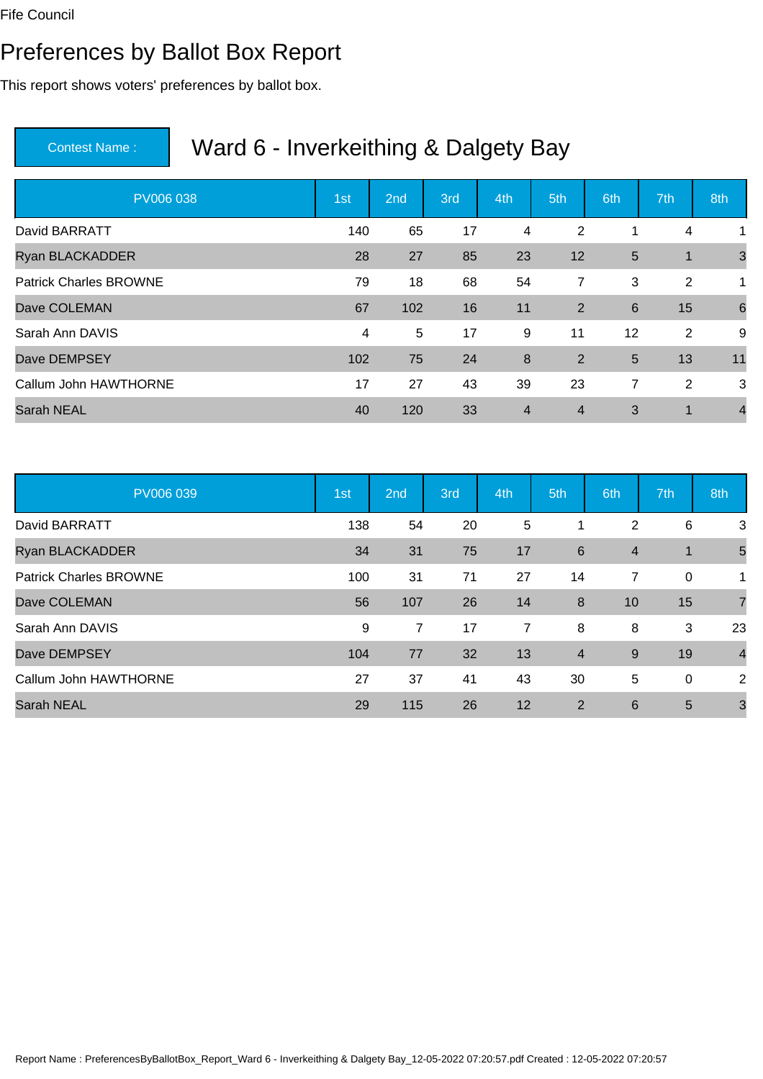#### Preferences by Ballot Box Report

This report shows voters' preferences by ballot box.

| PV006 038                     | 1st | 2 <sub>nd</sub> | 3rd | 4th            | 5th            | 6th            | 7th | 8th            |
|-------------------------------|-----|-----------------|-----|----------------|----------------|----------------|-----|----------------|
| David BARRATT                 | 140 | 65              | 17  | 4              | 2              | 1              | 4   | 1              |
| <b>Ryan BLACKADDER</b>        | 28  | 27              | 85  | 23             | 12             | 5              | 1   | 3              |
| <b>Patrick Charles BROWNE</b> | 79  | 18              | 68  | 54             | 7              | 3              | 2   | 1              |
| Dave COLEMAN                  | 67  | 102             | 16  | 11             | 2              | 6              | 15  | 6              |
| Sarah Ann DAVIS               | 4   | 5               | 17  | 9              | 11             | 12             | 2   | 9              |
| Dave DEMPSEY                  | 102 | 75              | 24  | 8              | 2              | 5              | 13  | 11             |
| Callum John HAWTHORNE         | 17  | 27              | 43  | 39             | 23             | $\overline{7}$ | 2   | 3              |
| <b>Sarah NEAL</b>             | 40  | 120             | 33  | $\overline{4}$ | $\overline{4}$ | 3              | 1   | $\overline{4}$ |

| PV006 039                     | 1st | 2nd | 3rd | 4th | 5th            | 6th            | 7th            | 8th            |
|-------------------------------|-----|-----|-----|-----|----------------|----------------|----------------|----------------|
| David BARRATT                 | 138 | 54  | 20  | 5   |                | 2              | 6              | 3              |
| <b>Ryan BLACKADDER</b>        | 34  | 31  | 75  | 17  | 6              | $\overline{4}$ | $\overline{1}$ | 5              |
| <b>Patrick Charles BROWNE</b> | 100 | 31  | 71  | 27  | 14             | 7              | 0              | 1              |
| Dave COLEMAN                  | 56  | 107 | 26  | 14  | 8              | 10             | 15             | $\overline{7}$ |
| Sarah Ann DAVIS               | 9   | 7   | 17  | 7   | 8              | 8              | 3              | 23             |
| Dave DEMPSEY                  | 104 | 77  | 32  | 13  | $\overline{4}$ | 9              | 19             | $\overline{4}$ |
| Callum John HAWTHORNE         | 27  | 37  | 41  | 43  | 30             | 5              | 0              | 2              |
| <b>Sarah NEAL</b>             | 29  | 115 | 26  | 12  | 2              | 6              | 5              | 3              |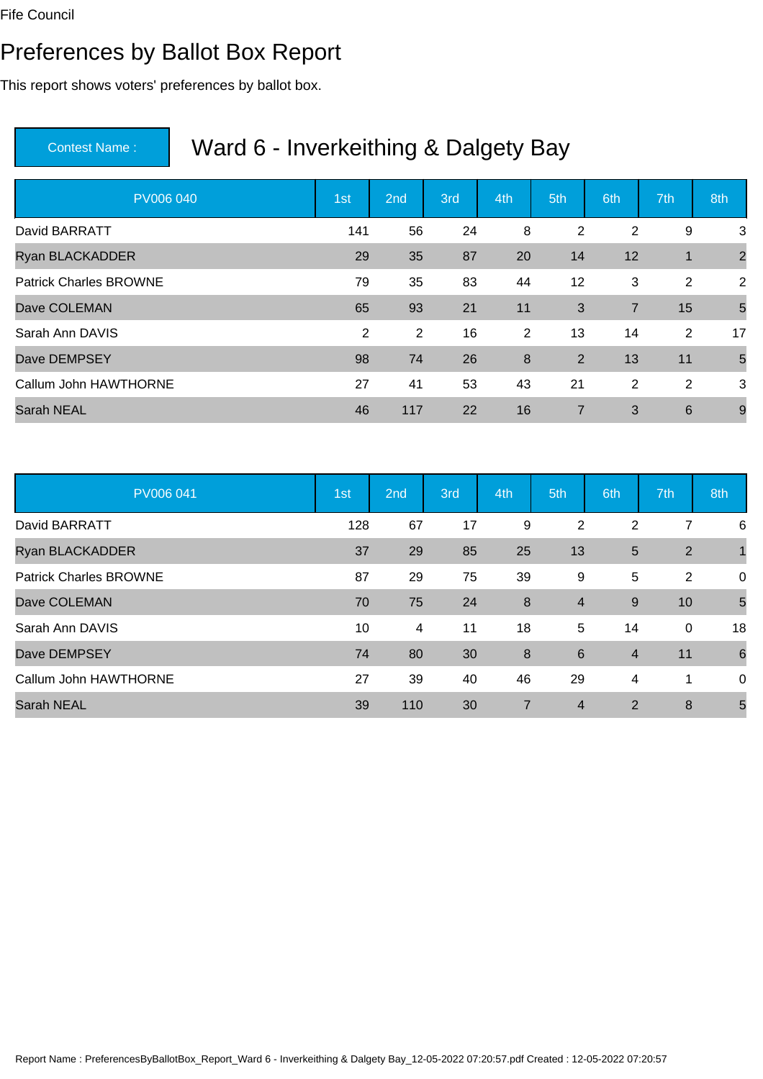#### Preferences by Ballot Box Report

This report shows voters' preferences by ballot box.

| PV006 040                     | 1st            | 2 <sub>nd</sub> | 3rd | 4th            | 5th            | 6th            | 7th | 8th            |
|-------------------------------|----------------|-----------------|-----|----------------|----------------|----------------|-----|----------------|
| David BARRATT                 | 141            | 56              | 24  | 8              | 2              | $\overline{2}$ | 9   | 3              |
| <b>Ryan BLACKADDER</b>        | 29             | 35              | 87  | 20             | 14             | 12             | 1   | $\overline{2}$ |
| <b>Patrick Charles BROWNE</b> | 79             | 35              | 83  | 44             | 12             | 3              | 2   | 2              |
| Dave COLEMAN                  | 65             | 93              | 21  | 11             | 3              | $\overline{7}$ | 15  | 5              |
| Sarah Ann DAVIS               | $\overline{2}$ | 2               | 16  | $\overline{2}$ | 13             | 14             | 2   | 17             |
| Dave DEMPSEY                  | 98             | 74              | 26  | 8              | $\overline{2}$ | 13             | 11  | 5              |
| Callum John HAWTHORNE         | 27             | 41              | 53  | 43             | 21             | 2              | 2   | 3              |
| <b>Sarah NEAL</b>             | 46             | 117             | 22  | 16             | 7              | 3              | 6   | 9              |

| PV006 041                     | 1st | 2nd | 3rd | 4th              | 5th            | 6th            | 7th            | 8th             |
|-------------------------------|-----|-----|-----|------------------|----------------|----------------|----------------|-----------------|
| David BARRATT                 | 128 | 67  | 17  | 9                | 2              | 2              | 7              | 6               |
| Ryan BLACKADDER               | 37  | 29  | 85  | 25               | 13             | 5              | 2              | 1               |
| <b>Patrick Charles BROWNE</b> | 87  | 29  | 75  | 39               | 9              | 5              | $\overline{2}$ | 0               |
| Dave COLEMAN                  | 70  | 75  | 24  | $\boldsymbol{8}$ | $\overline{4}$ | 9              | 10             | 5               |
| Sarah Ann DAVIS               | 10  | 4   | 11  | 18               | 5              | 14             | 0              | 18              |
| Dave DEMPSEY                  | 74  | 80  | 30  | 8                | 6              | $\overline{4}$ | 11             | $6\phantom{1}6$ |
| Callum John HAWTHORNE         | 27  | 39  | 40  | 46               | 29             | 4              | 1              | 0               |
| <b>Sarah NEAL</b>             | 39  | 110 | 30  | $\overline{7}$   | $\overline{4}$ | 2              | 8              | 5               |